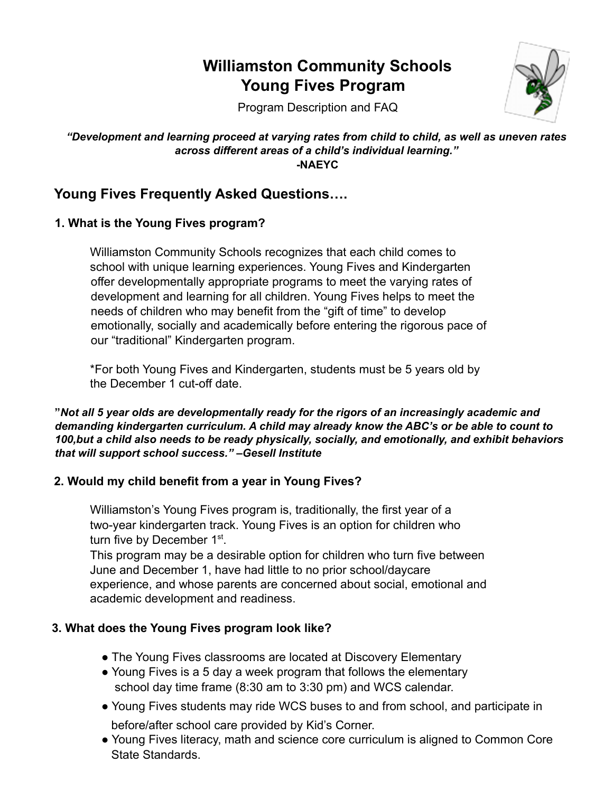# **Williamston Community Schools Young Fives Program**



Program Description and FAQ

#### *"Development and learning proceed at varying rates from child to child, as well as uneven rates across different areas of a child's individual learning."* **-NAEYC**

## **Young Fives Frequently Asked Questions….**

## **1. What is the Young Fives program?**

Williamston Community Schools recognizes that each child comes to school with unique learning experiences. Young Fives and Kindergarten offer developmentally appropriate programs to meet the varying rates of development and learning for all children. Young Fives helps to meet the needs of children who may benefit from the "gift of time" to develop emotionally, socially and academically before entering the rigorous pace of our "traditional" Kindergarten program.

\*For both Young Fives and Kindergarten, students must be 5 years old by the December 1 cut-off date.

**"***Not all 5 year olds are developmentally ready for the rigors of an increasingly academic and demanding kindergarten curriculum. A child may already know the ABC's or be able to count to 100,but a child also needs to be ready physically, socially, and emotionally, and exhibit behaviors that will support school success." –Gesell Institute*

#### **2. Would my child benefit from a year in Young Fives?**

Williamston's Young Fives program is, traditionally, the first year of a two-year kindergarten track. Young Fives is an option for children who turn five by December 1<sup>st</sup>.

This program may be a desirable option for children who turn five between June and December 1, have had little to no prior school/daycare experience, and whose parents are concerned about social, emotional and academic development and readiness.

## **3. What does the Young Fives program look like?**

- The Young Fives classrooms are located at Discovery Elementary
- Young Fives is a 5 day a week program that follows the elementary school day time frame (8:30 am to 3:30 pm) and WCS calendar.
- Young Fives students may ride WCS buses to and from school, and participate in before/after school care provided by Kid's Corner.
- Young Fives literacy, math and science core curriculum is aligned to Common Core State Standards.